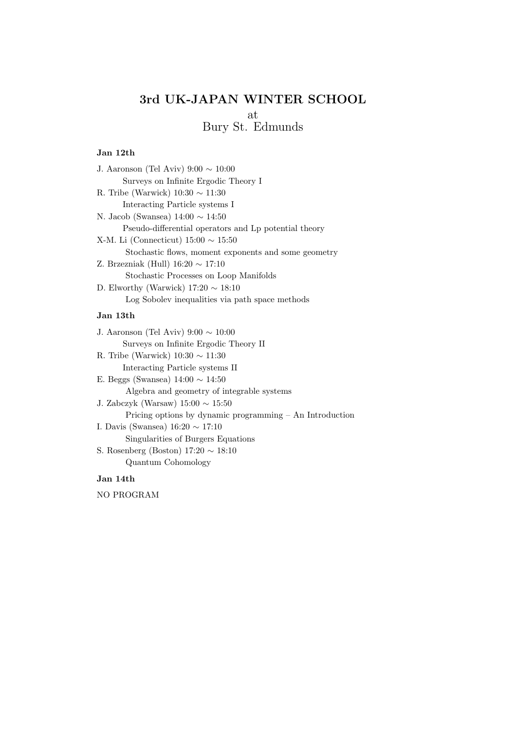# 3rd UK-JAPAN WINTER SCHOOL at Bury St. Edmunds

## Jan 12th

| J. Aaronson (Tel Aviv) $9:00 \sim 10:00$              |
|-------------------------------------------------------|
| Surveys on Infinite Ergodic Theory I                  |
| R. Tribe (Warwick) $10:30 \sim 11:30$                 |
| Interacting Particle systems I                        |
| N. Jacob (Swansea) $14:00 \sim 14:50$                 |
| Pseudo-differential operators and Lp potential theory |
| X-M. Li (Connecticut) $15:00 \sim 15:50$              |
| Stochastic flows, moment exponents and some geometry  |
| Z. Brzezniak (Hull) $16:20 \sim 17:10$                |
| Stochastic Processes on Loop Manifolds                |
| D. Elworthy (Warwick) $17:20 \sim 18:10$              |
| Log Sobolev inequalities via path space methods       |
| Jan 13th                                              |
| J. Aaronson (Tel Aviv) $9:00 \sim 10:00$              |
| Surveys on Infinite Ergodic Theory II                 |
|                                                       |

R. Tribe (Warwick)  $10:30 \sim 11:30$ Interacting Particle systems II E. Beggs (Swansea) 14:00 ∼ 14:50 Algebra and geometry of integrable systems J. Zabczyk (Warsaw) 15:00 ∼ 15:50 Pricing options by dynamic programming – An Introduction I. Davis (Swansea) 16:20 ∼ 17:10 Singularities of Burgers Equations S. Rosenberg (Boston) 17:20 ∼ 18:10 Quantum Cohomology

# Jan 14th

NO PROGRAM